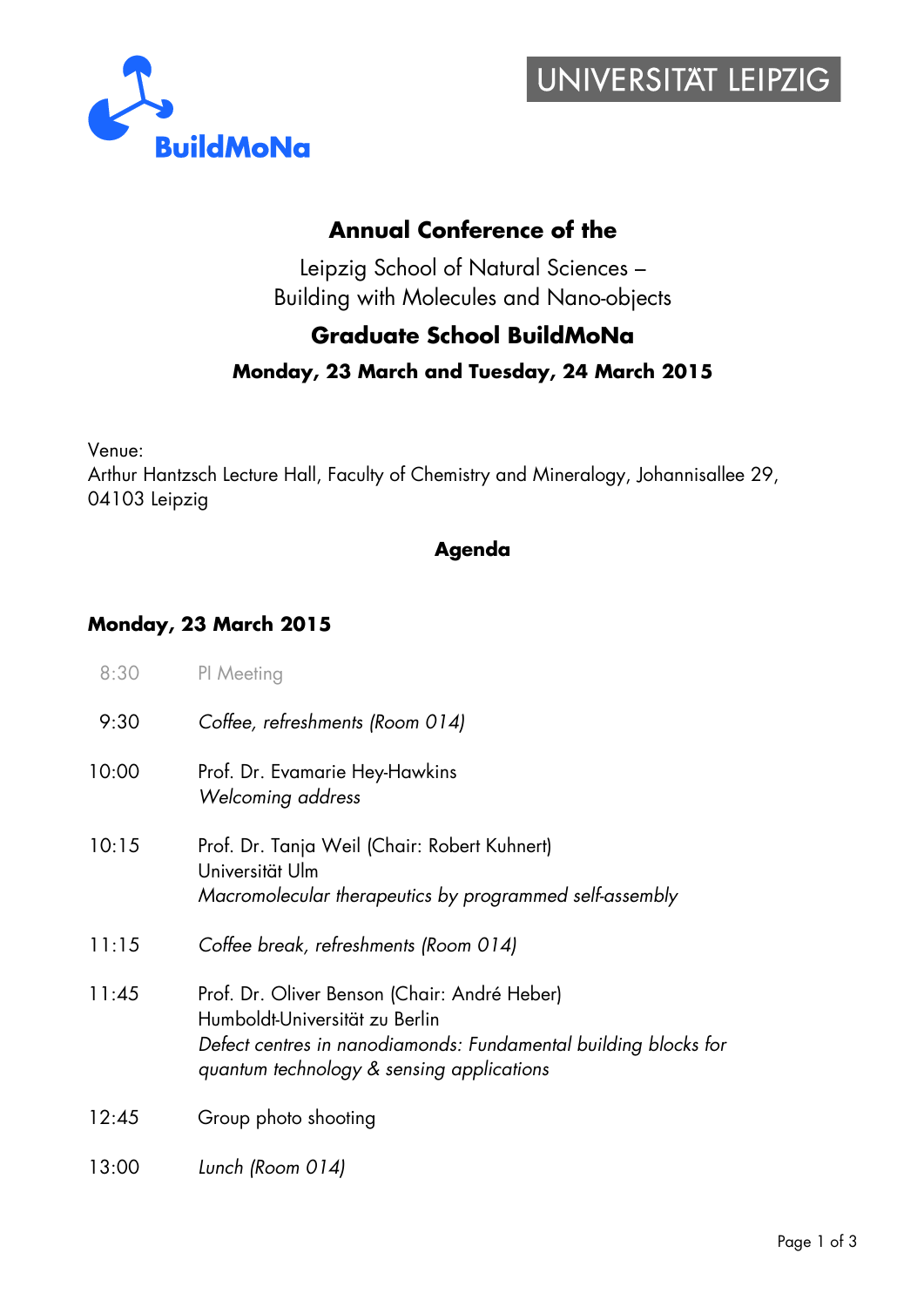



### **Annual Conference of the**

Leipzig School of Natural Sciences – Building with Molecules and Nano-objects

## **Graduate School BuildMoNa**

#### **Monday, 23 March and Tuesday, 24 March 2015**

Venue:

Arthur Hantzsch Lecture Hall, Faculty of Chemistry and Mineralogy, Johannisallee 29, 04103 Leipzig

#### **Agenda**

#### **Monday, 23 March 2015**

| 8:30  | PI Meeting                                                                                                                                                                                     |
|-------|------------------------------------------------------------------------------------------------------------------------------------------------------------------------------------------------|
| 9:30  | Coffee, refreshments (Room 014)                                                                                                                                                                |
| 10:00 | Prof. Dr. Evamarie Hey-Hawkins<br>Welcoming address                                                                                                                                            |
| 10:15 | Prof. Dr. Tanja Weil (Chair: Robert Kuhnert)<br>Universität Ulm<br>Macromolecular therapeutics by programmed self-assembly                                                                     |
| 11:15 | Coffee break, refreshments (Room 014)                                                                                                                                                          |
| 11:45 | Prof. Dr. Oliver Benson (Chair: André Heber)<br>Humboldt-Universität zu Berlin<br>Defect centres in nanodiamonds: Fundamental building blocks for<br>quantum technology & sensing applications |
| 12:45 | Group photo shooting                                                                                                                                                                           |
| 13:00 | Lunch (Room 014)                                                                                                                                                                               |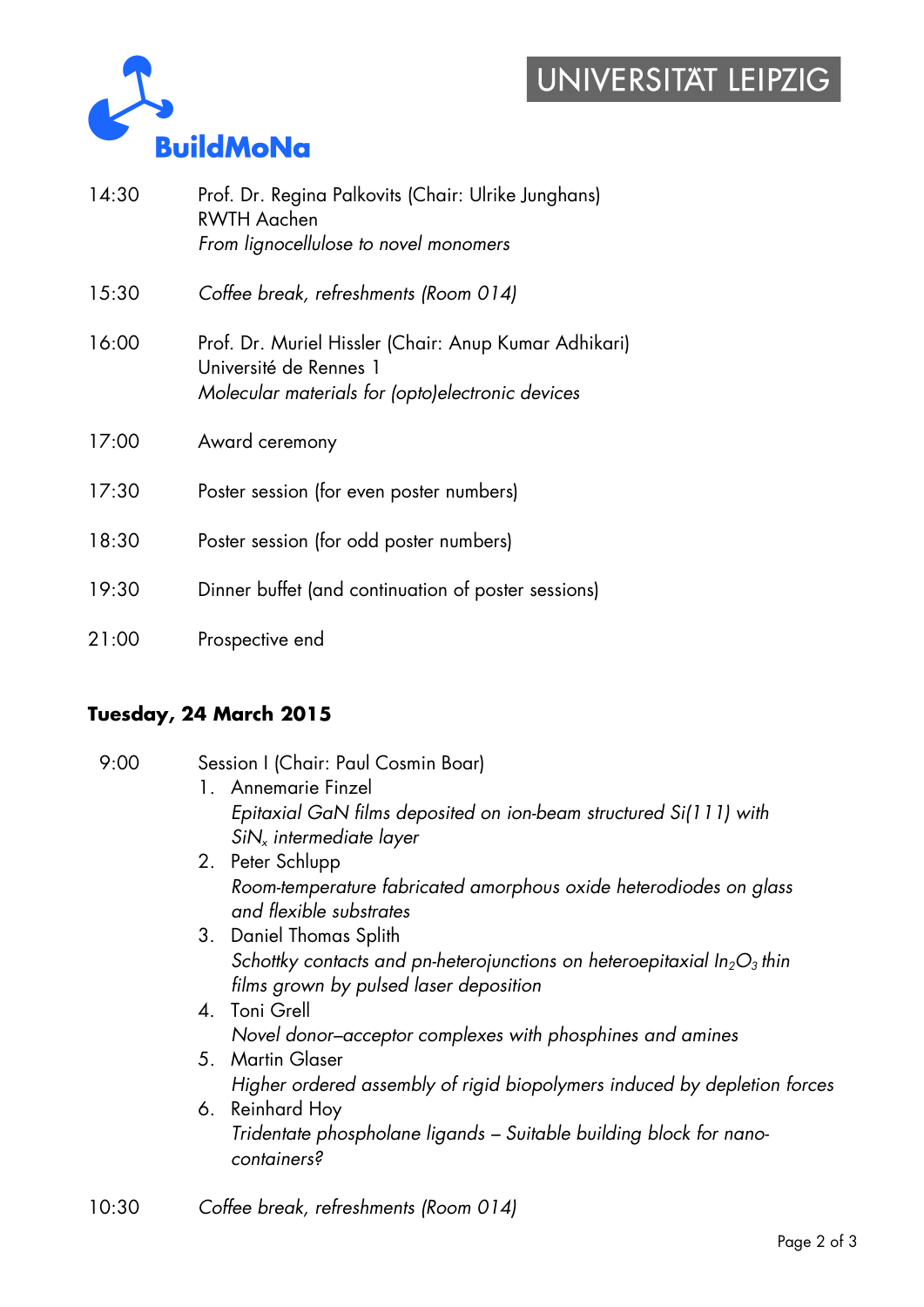## UNIVERSITAT LEIPZIG



| 14:30 | Prof. Dr. Regina Palkovits (Chair: Ulrike Junghans)<br><b>RWTH Aachen</b><br>From lignocellulose to novel monomers                  |
|-------|-------------------------------------------------------------------------------------------------------------------------------------|
| 15:30 | Coffee break, refreshments (Room 014)                                                                                               |
| 16:00 | Prof. Dr. Muriel Hissler (Chair: Anup Kumar Adhikari)<br>Université de Rennes 1<br>Molecular materials for (opto)electronic devices |
| 17:00 | Award ceremony                                                                                                                      |
| 17:30 | Poster session (for even poster numbers)                                                                                            |
| 18:30 | Poster session (for odd poster numbers)                                                                                             |
| 19:30 | Dinner buffet (and continuation of poster sessions)                                                                                 |
|       |                                                                                                                                     |

#### **Tuesday, 24 March 2015**

| 9:00  | Session I (Chair: Paul Cosmin Boar)<br>1. Annemarie Finzel<br>Epitaxial GaN films deposited on ion-beam structured Si(111) with<br>SiN <sub>x</sub> intermediate layer<br>2. Peter Schlupp<br>Room-temperature fabricated amorphous oxide heterodiodes on glass<br>and flexible substrates<br>3. Daniel Thomas Splith<br>Schottky contacts and pn-heterojunctions on heteroepitaxial $In_2O_3$ thin<br>films grown by pulsed laser deposition<br>4. Toni Grell<br>Novel donor-acceptor complexes with phosphines and amines<br>5. Martin Glaser<br>Higher ordered assembly of rigid biopolymers induced by depletion forces<br>6. Reinhard Hoy<br>Tridentate phospholane ligands - Suitable building block for nano-<br>containers? |
|-------|-------------------------------------------------------------------------------------------------------------------------------------------------------------------------------------------------------------------------------------------------------------------------------------------------------------------------------------------------------------------------------------------------------------------------------------------------------------------------------------------------------------------------------------------------------------------------------------------------------------------------------------------------------------------------------------------------------------------------------------|
| 10:30 | Coffee break, refreshments (Room 014)                                                                                                                                                                                                                                                                                                                                                                                                                                                                                                                                                                                                                                                                                               |